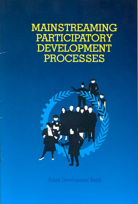**MAINSTREAMING PARTICIPATORY DEVELOPMENT PROCESSES** 

**Asian Development Bank**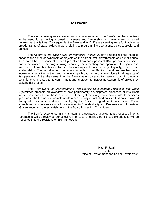#### **FOREWORD**

 There is increasing awareness of and commitment among the Bank's member countries to the need for achieving a broad consensus and "ownership" for government-sponsored development initiatives. Consequently, the Bank and its DMCs are seeking ways for involving a broader range of stakeholders in work relating to programming operations, policy analysis, and projects.

The *Report of the Task Force on Improving Project* Quality emphasized the need to enhance the sense of ownership of projects on the part of DMC governments and beneficiaries. It observed that this sense of ownership evolves from participation of DMC government officials and beneficiaries in the programming, planning, implementing, and operation of projects; and from perceptions that this involvement has a major influence on project quality, impact, and sustainability. The report noted that many aspects of the Bank's operations are becoming increasingly sensitive to the need for involving a broad range of stakeholders in all aspects of its operations. But at the same time, the Bank was encouraged to make a strong institutional commitment, in regard to its commitment and approach to increasing ownership of projects by stakeholder groups.

This *Framework for Mainstreaming Participatory Development Processes into Bank Operations* presents an overview of how participatory development processes fit into Bank operations, and of how these processes will be systematically incorporated into its business practices. The Framework complements other recently established policies that have provided for greater openness and accountability by the Bank in regard to its operations. These complementary policies include those relating to Confidentiality and Disclosure of Information, Governance, and the establishment of the Board Inspection Committee.

The Bank's experience in mainstreaming participatory development processes into its operations will be reviewed periodically. The lessons learned from these experiences will be reflected in future revisions of this Framework.

> **Kazi F. Jalal**  Chief Office of Environment and Social Development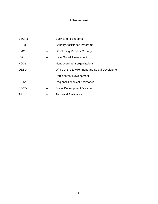# **Abbreviations**

| <b>BTORs</b> | Back-to-office-reports                           |
|--------------|--------------------------------------------------|
| <b>CAPs</b>  | <b>Country Assistance Programs</b>               |
| <b>DMC</b>   | Developing Member Country                        |
| <b>ISA</b>   | Initial Social Assessment                        |
| <b>NGOs</b>  | Nongovernment organizations                      |
| <b>OESD</b>  | Office of the Environment and Social Development |
| PD.          | <b>Participatory Development</b>                 |
| <b>RETA</b>  | <b>Regional Technical Assistance</b>             |
| <b>SOCD</b>  | Social Development Division                      |
| TA           | <b>Technical Assistance</b>                      |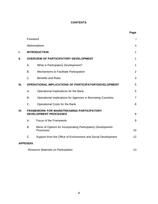# **CONTENTS**

|      |                                                                                  |                                                                          | Page           |  |  |
|------|----------------------------------------------------------------------------------|--------------------------------------------------------------------------|----------------|--|--|
|      | Foreword                                                                         |                                                                          |                |  |  |
|      | Abbreviations                                                                    |                                                                          |                |  |  |
| I.   |                                                                                  | <b>INTRODUCTION</b>                                                      | $\mathbf{1}$   |  |  |
| П.   | <b>OVERVIEW OF PARTICIPATORY DEVELOPMENT</b>                                     |                                                                          |                |  |  |
|      | А.                                                                               | What is Participatory Development?                                       | $\mathbf{1}$   |  |  |
|      | В.                                                                               | Mechanisms to Facilitate Participation                                   | $\overline{2}$ |  |  |
|      | C.                                                                               | <b>Benefits and Risks</b>                                                | 3              |  |  |
| III. |                                                                                  | <b>OPERATIONAL IMPLICATIONS OF PARTICIPATORYDEVELOPMENT</b>              |                |  |  |
|      | А.                                                                               | Operational Implications for the Bank                                    | 5              |  |  |
|      | B.                                                                               | Operational Implications for Agencies in Borrowing Countries             | $\overline{7}$ |  |  |
|      | C.                                                                               | Operational Costs for the Bank                                           | 8              |  |  |
| IV.  | <b>FRAMEWORK FOR MAINSTREAMING PARTICIPATORY</b><br><b>DEVELOPMENT PROCESSES</b> |                                                                          | 9              |  |  |
|      | А.                                                                               | Focus of the Framework                                                   | 9              |  |  |
|      | B.                                                                               | Menu of Options for Incorporating Participatory Development<br>Processes | 10             |  |  |
|      | C.                                                                               | Support from the Office of Environment and Social Development            | 12             |  |  |
|      | <b>APPENDIX</b>                                                                  |                                                                          |                |  |  |
|      | <b>Resource Materials on Participation</b>                                       |                                                                          |                |  |  |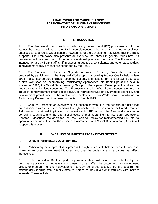#### **FRAMEWORK FOR MAINSTREAMING PARTICIPATORY DEVELOPMENT PROCESSES INTO BANK OPERATIONS**

### **I. INTRODUCTION**

1. This Framework describes how participatory development (PD) processes fit into the various business practices of the Bank, complementing other recent changes in business practices to catalyze a Wider sense of ownership of the development activities that the Bank supports. The Framework also presents an overview that shows in general terms how PD processes will be introduced into various operational practices over time. The Framework is intended for use by Bank staff, staff in executing agencies, consultants, and other stakeholders in development activities that are supported by the Bank.

2. The Framework reflects the "Agenda for' Action: Fostering Ownership" that was prepared by participants in the Regional Workshop on Improving Project Quality held in late 1994. It also incorporates findings, recommendations, and lessons from the following sources: a staff Workshop on Incorporating Participatory Approaches into Bank Operations held in November 1994, the World Bank Learning Group on Participatory Development, and staff in departments and offices concerned. The Framework also benefited from a consultation with, a group of nongovernment organizations (NGOs), representatives of government agencies, and development practitioners in the joint Asian Development Bank-World Bank Consultation on Participatory Development that was conducted in March 1995.

3. Chapter 2 presents an overview of PD, describing what it is, the benefits and risks that are associated with it, and mechanisms through which participation can be facilitated. Chapter 3 discusses operational implications of mainstreaming PD for both the Bank and agencies in borrowing countries, and the operational costs of mainstreaming PD into Bank operations. Chapter 4 describes the approach that the Bank will follow for mainstreaming PD into its operations and indicates how the Office of Environment and Social Development (OESD) will support this process.

#### **II. OVERVIEW OF PARTICIPATORY DEVELOPMENT**

#### **A. What is Participatory Development?**

4. Participatory development is a process through which stakeholders can influence and share control over development initiatives, and over the decisions and resources that affect themselves.

5. In the context of Bank-supported operations, stakeholders are those affected by the outcome - positively or negatively - or those who can affect the outcome of a development activity or program. For every development concern being addressed, there is a spectrum of stakeholders ranging from directly affected parties to individuals or institutions with indirect interests. These include: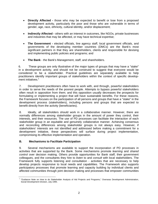- **Directly Affected -** those who may be expected to benefit or lose from a proposed development activity, particularly the poor and those who are vulnerable in terms of gender, age, race, ethnicity, cultural identity, and/or displacement;
- **Indirectly Affected** others with an interest in outcomes, like NGOs, private businesses and industries that may be affected, or may have technical expertise;
- **The Government** elected officials, line agency staff, local government officials, and governments of the developing member countries (DMCs) are the Bank's most significant partners in that they are shareholders, clients and responsible for devising and implementing public policies and programs; and
- **The Bank**  the Bank's Management, staff, and shareholders.

6. These groups are only illustrative of the major types of groups that may have a "stake" in a development activity, and should not be construed to suggest that everyone would be considered to be a stakeholder. Practical guidelines are separately available to help practitioners identify important groups of stakeholders within the context of specific develop-ment initiatives.<sup>[1](#page-5-0)</sup>

7. Development practitioners often have to work with, and through, powerful stakeholders in order to serve the needs of the poorest people. Attempts to bypass powerful stakeholders often result in opposition from them; and this opposition usually decreases the prospects for formulating or implementing a project that will have sustainable benefits. For these reasons, the Framework focuses on the participation of all persons and groups that have a "stake" in the development process (stakeholders), including persons and groups that are expected to benefit directly from the activity (beneficiaries).

8. Ideally, all stakeholders should work in a collaborative manner. However, there are normally differences among stakeholder groups in the amount of power they control, their interests, and their resources. The use of PD processes can facilitate the interaction of each stakeholder group in an equitable and genuinely collaborative manner. Achieving consensus and reconciling differences among stakeholder groups is not always easy. However, if stakeholders' interests are not identified and addressed before making a commitment for a development initiative, these perspectives will surface during project implementation, compromising its effective implementation and operation.

## **B. Mechanisms to Facilitate Participation**

9. Several mechanisms are available to support the incorporation of PD processes in activities that are supported by the Bank. Some mechanisms promote *learning* and *shared control* over decision making. Others provide opportunities for Bank staff, their government colleagues, and the consultants they hire to *listen* to and *consult* with local stakeholders. The Framework fully supports listening and consultation - activities that are necessary to help develop projects responsive to local needs and capabilities. The Framework also supports participatory processes that promote learning and capacity building by individual clients and affected communities through joint decision making and processes that empower communities

<span id="page-5-0"></span> $\overline{a}$ 1 "Guidance Note on How to do Stakeholder Analysis of Aid Projects and Programs," Overseas Development Administration, Social Development Division, July 1995.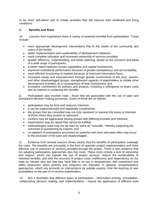to be more self-reliant and to initiate activities that will improve their livelihood and living conditions.

## **C. Benefits and Risks**

10. Lessons from experience show a variety of potential benefits from participation. These include:

- more appropriate development interventions that fit the needs of the community and users of the facility;
- better implementation and sustainability of development initiatives;
- more complete utilization and increased ownership of services provided;
- greater efficiency, understanding, and better planning, based on the concerns and ideas of a wide range of participants;
- a better match between human capabilities and capital investments;
- improved institutional performance because of greater transparency and accountability;
- more efficient functioning of markets because of improved information flows;
- increased equity and empowerment through greater involvement of the poor, women, and other disadvantaged groups; strengthened capacity of stakeholders to initiate other development activities, as a consequence of their involvement; and
- increased commitment for policies and projects, including a willingness to share costs and an interest in sustaining the benefits.

11. Participation also involves risks - those that are associated with the use of open and transparent decision making processes. Some of these are as follows:

- participation may be time and resource intensive;
- it can be organizationally and logistically troublesome;
- the groups that are consulted may not truly represent or express the views or interests of those whom they purport to represent;
- conflicts may be aggravated among groups with differing priorities and interests;
- expectations may be raised that cannot be fulfilled;
- methodologies used may not be seen by some as "scientific," thereby subjecting the outcomes to questioning by experts; and
- co-optation of participatory processes by powerful and more articulate elites may occur to the exclusion of the poor and disadvantaged.

12. Evidence from several sources shows clearly that the benefits of participation outweigh the costs. The benefits are principally in the form of speedier project implementation and more effective use of resources or services provided through the project. There is also evidence that not adopting participatory approaches also has costs. These costs include a lack of ownership and support, which can impede the use of project services, reduce the sustainability of intended benefits, and limit the recovery of project costs; indifference and dependency on the state by citizens who see that they have little or no say in development; and resentment and willful obstruction when policies and programs are imposed. In general, nonparticipatory approaches, which rely primarily on interventions by outside experts, limit the learning of new possibilities on the part of in-country stakeholders.

13. Box 1 illustrates that different types of participation - information-sharing, consultation, collaborative decision making, and implementation - require the application of different tools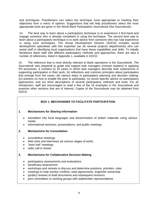and techniques. Practitioners can select the technique most appropriate to meeting their objectives from a menu of options. Suggestions that will help practitioners select the most appropriate tools are given in the *World Bank Participation Sourcebook* (the Sourcebook).

14. The best way to learn about a participatory technique is to experience it first-hand and engage someone who is already competent in using the technique. The second best way to learn about a participatory technique is to seek advice from someone who has had experience in using such techniques. The Social Development Division (SOCD) includes social development specialists with this expertise (as do several projects departments) who can assist staff in identifying local organizations that have these capabilities and skills. To initially familiarize Bank staff with different participatory methods and approaches, there are also a number of references, listed in Appendix 1, available in SOCD.

15. The reference that is most directly relevant to Bank operations is the Sourcebook. The Sourcebook was prepared to guide and support task managers (mission leaders) in applying PD processes. It contains (i) 16 cases in which task managers describe their experiences in supporting participation in their work, (ii) reflections and common principles about participation that emerge from the cases, (iii) various steps in participatory planning and decision making, (iv) pointers on how to enable the poor to participate, (v) sector-specific advice on participatory approaches, and (vi) short descriptions of several participatory methods and tools. For an introduction, staff are encouraged to read a few of the 16 examples in the Sourcebook and examine other sections that are of interest. Copies of the Sourcebook may be obtained from SOCD:

# **BOX 1. MECHANISMS TO FACILITATE PARTICIPATION**

## **1. Mechanisms for Sharing Information**

- translation into local languages and dissemination of written materials using various media
- informational seminars, presentations, and public meetings

## **2. Mechanisms for Consultation**

- consultative meetings
- field visits and interviews (at various stages of work)
- "town hall" meetings
- radio call-in shows

#### **3. Mechanisms for Collaborative Decision Making**

- participatory assessments and evaluations
- beneficiary assessment
- workshops and retreats to discuss and determine positions, priorities, roles
- meetings to help resolve conflicts, seek agreements, engender ownership
- (public) reviews of draft documents and subsequent revisions
- joint committees or working groups with stakeholder representatives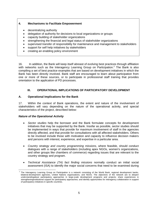### **4. Mechanisms to Facilitate Empowerment**

- decentralizing authority
- delegation of authority for decisions to local organizations or groups
- capacity building of stakeholder organizations
- strengthening the financial and legal status of stakeholder organizations
- supervised transfer of responsibility for maintenance and management to stakeholders
- support for self help initiatives by stakeholders
- creating an enabling policy environment

16. In addition, the Bank will keep itself abreast of evolving best practices through affiliation with networks such as the Interagency Learning Group on Participation.<sup>[2](#page-8-0)</sup> The Bank is also compiling a set of best practice examples that are based on development initiatives in which the Bank has been directly involved. Bank staff are encouraged to learn about participation from one or more of these sources, or to participate in professional staff training that provides orientation to the application of PD processes.

### **III. OPERATIONAL IMPLICATIONS OF PARTICIPATORY DEVELOPMENT**

#### **A. Operational Implications for the Bank**

17. Within the context of Bank operations, the extent and nature of the involvement of stakeholders will vary depending on the nature of the operational activity, and special characteristics of the project, described below:

#### *Nature of the Operational Activity*

- *Sector studies* help the borrower and the Bank formulate concepts for development initiatives that may be supported by the Bank. Insofar as possible, sector studies should be implemented in ways that provide for maximum involvement of staff in the agencies directly affected, and that provide for consultations with all affected stakeholders. Others to be involved include those with motivation and capacity to influence decision makers and persons with interest, experience, and expertise in a particular area.
- *Country strategy and country programming missions,* where feasible, should conduct dialogues with a range of stakeholders (including apex NGOs, women's organizations, and other groups like chambers of commerce) regarding issues that are relevant to the country strategy and program.
- *Technical Assistance (TA) fact finding missions* normally conduct an initial social assessment (ISA) to identify the major social concerns that need to be examined during

<span id="page-8-0"></span> $\overline{a}$ <sup>2</sup> The Interagency Learning Group on Participation is a network consisting of the World Bank, regional development banks, bilateral development agencies, United Nations organizations, and NGOs. The *objectives* of the network are to *deepen understanding*about participatory approaches in large-scale development programs and projects; share experiences in strengtheninginstitutional support for participatory approaches; and identify opportunities for interagency collaboration in support of participatory initiatives in specific countries.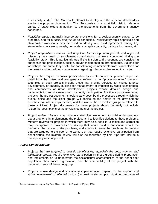a feasibility study. $3$  The ISA should attempt to identify who the relevant stakeholders are for the proposed intervention. The ISA consists of a short field visit to talk to a variety of stakeholders in addition to the proponents from the government agency concerned.

- *Feasibility studies* normally incorporate provisions for a socioeconomic survey to be prepared, and for a *social analysis to* be conducted. Participatory rapid appraisals and stakeholder workshops may be used to identify and build agreement among key stakeholders concerning needs, demands, absorptive capacity, participation issues, etc.
- *Project preparation* missions *(including loan fact-finding, preappraisal, and appraisal*  missions) may need to supplement consultations that were conducted during the feasibility study. This is particularly true if the Mission and proponent are considering changes in the project scope, design, and/or implementation arrangements. Stakeholder workshops are particularly useful for consolidating commitments from stakeholders for the project and for building commitments regarding roles in implementing the project.
- Projects that require extensive participation by clients cannot be planned in precise detail from the outset and are generally referred to as "process-oriented" projects. Examples of such projects include those that provide services for microenterprise development, or capacity building for management of irrigation by water user groups, and components of urban development projects whose detailed design and implementation require extensive community participation. For these process-oriented projects, the project document should clearly describe the processes through which the project office and the client groups will decide on the details of the development activities that will be implemented, and the role of the respective groups in relation to these activities. Project documents for these projects should generally not include "blueprint" descriptions of the physical outputs of the project.
- *Project review missions* may include stakeholder workshops to build understandings about problems in implementing the project, and to identify solutions to these problems. Midterm reviews for projects in which there may be a need for a midcourse correction may incorporate a stakeholder workshop that would build a consensus about the problems, the causes of the problems, and actions to solve the problems. In projects that are targeted to the poor or to women, or that require extensive participation from beneficiaries, the midterm review will also be facilitated by field trips that include a participatory rapid appraisal.

#### *Project Considerations*

 $\overline{a}$ 

- Projects that are *targeted to specific beneficiaries, especially the poor, women, and indigenous groups,* require extensive participation by these groups during preparation and implementation to understand the sociocultural characteristics of the beneficiary population, their social organization, and the compatibility of the project with the perceived needs of the target group.
- Projects whose design and sustainable implementation depend on the support and *active involvement of affected groups* (domestic water supply, irrigation, group-based

<span id="page-9-0"></span><sup>3</sup> See *Handbook for Incorporating Social* Dimensions into Projects. ADB, May 1994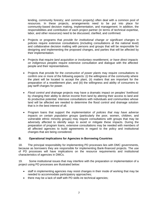lending, community forestry; and common property) often deal with a common pool of resources. In these projects, arrangements need to be put into place for community-based decision making, implementation, and management. In addition, the responsibilities and contribution of each project partner (in terms of technical expertise, labor, and other resources) need to be discussed, clarified, and confirmed.

- Projects or programs that *provide for institutional change or significant changes* in policies require extensive consultations (including consultations at the national level) and collaborative decision malting with persons and groups that will be responsible for designing and implementing the proposed changes, and parties that will be affected by their implementation.
- Projects that require *land acquisition or involuntary resettlement, or have direct impacts on indigenous peoples* require extensive consultation and dialogue with the affected people and their representatives.
- Projects that provide for the *construction of power plants* may require consultations to confirm one or more of the following aspects: (i) the willingness of the community where the plant will be located to accept the plant, (ii) matters that are important for the preparation of a resettlement plan, and (iii) the willingness and ability of consumers to pay tariff charges for power.
- *Flood control and drainage* projects may have a dramatic impact on peoples' livelihood by changing their ability to derive income from land by altering their access to land and its productive potential. Intensive consultations with individuals and communities whose land will be affected are needed to determine the flood control and drainage solution that is in the best interest of all.
- Program loans that support the *implementation of policies that may have adverse impacts on certain population groups* (particularly the poor, women, children, and vulnerable ethnic minority groups) may require consultations with groups that may be adversely affected to identify ways to avoid or mitigate these impacts. During the preparation of program loans, extensive consultations may be needed with members of all affected agencies to build agreements in regard to the policy and institutional changes that are being considered.

#### **B. Operational Implications for Agencies in Borrowing Countries**

18. The principal responsibility for implementing PD processes lies with DMC governments, because as borrowers they are responsible for implementing Bank-financed projects. The use of PD processes will have implications on the resource requirements and institutional characteristics of agencies in DMCs.

19. Some institutional issues that may interfere with the preparation or implementation of a project using PD processes are illustrated below:

- staff in implementing agencies may resist changes in their mode of working that may be needed to accommodate participatory approaches;
- there may be a lack of staff with PD skills ire technical agencies;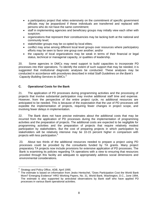- a participatory project that relies extensively on the commitment of specific government officials may be jeopardized if these individuals are transferred and replaced with persons who do not have the same commitment;
- staff in implementing agencies and beneficiary groups may initially view each other with suspicion;
- organizations that represent their constituencies may be lacking both at the national and community level;
- stakeholder groups may be co-opted by local elites;
- conflict may arise among different local level groups over resources where participatory efforts may be seen to favor one group over another; and/or
- the capacity of local organizations may be weak in terms of their financial or legal status, technical or managerial capacity, or qualities of leadership.

20. Some agencies in DMCs may need support to build capacities to incorporate PD processes into their operations. To identify the extent of such support that may be needed, it is suggested that institutional diagnostic analyses be conducted. These analyses may be conducted in accordance with procedures described in initial Staff *Guidelines on the Bank's Capacity Building Services to DMCs.[4](#page-11-0)*

### **C. Operational Costs for the Bank**

21. The application of PD processes during programming activities and the processing of projects that involve substantial participation may involve additional staff time and expense. However, from the perspective of the entire project cycle, no additional resources are anticipated to be needed. This is because of the expectation that the use of PD processes will expedite the implementation of projects, requiring fewer changes in project scope, and involving fewer delays in implementation.

22. The Bank does not have precise estimates about the additional costs that may be incurred from the application of PD processes during the implementation of programming activities and the preparation of projects. The additional costs are expected to be negligible for programming activities and the preparation of projects that require relatively modest participation by stakeholders. But the cost of preparing projects in which participation by stakeholders will be relatively intensive may be 10-15 percent higher in comparison with projects with less participation[.5](#page-11-1)

23. About two thirds of the additional resources needed to prepare a project using PD processes could be provided by the consultants funded by TA grants. Many project preparatory TA projects now include provisions for extensive application of PD processes. The Bank is examining its policies regarding TA operations with a view to ensuring that resources provided through this facility are adequate to appropriately address social dimensions and environmental considerations.

 $\overline{a}$ 4 <sup>4</sup> Strategy and Policy Office, *ADB, April 1995.*<br><sup>5</sup> The estimate is based on information from

<span id="page-11-1"></span><span id="page-11-0"></span><sup>5</sup> The estimate is based on information from Jesko Hentschel, "Does Participation Cost the World Bank More? Emerging Evidence" HRO Working Papers, No. 31, World Bank, Washington, D.C., June 1994, The estimate is also supported by anecdotal observations by Bank staff who have applied PD processes in various Bank operational activities.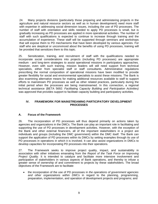24. Many projects divisions (particularly those preparing and administering projects in the agriculture and natural resource sectors as well as in human development) need more staff with expertise in addressing social dimension issues, including the use of PD processes. The number of staff with orientation and skills needed to apply PD processes is small, but is gradually increasing as PD processes are applied in more operational activities. The number of staff with such qualifications is expected to continue to increase through training and the accumulation of experience. These staff will be supported through seminars and workshops that will expose them to PD mechanisms that have been developed by various agencies. For staff who are skeptical or unconvinced about the benefits of using PD processes, training will be provided that sensitizes them to this topic.

25. Sensitization, training, and recruitment of staff with the qualifications needed to incorporate social considerations into projects (including PD processes) are appropriate medium - and long-term strategies to assist operational missions in participatory approaches. However, even with such training, mission leaders will still need support from technical specialists, either from specialist staff or staff consultants. Administrative regulations prescribing the normal composition of operational missions have been modified to provide greater flexibility for social and environmental specialists to assist these missions. The Bank is also examining alternative means for making additional resources available to staff to support efforts to mainstream PD processes as well as other related practices, particularly during the initial period when the processes are being mainstreamed. In this connection, a regional technical assistance (BETA 5692: *Facilitating Capacity Building and Participation Activities)*  was approved that provides support to facilitate capacity building and participatory activities.

### **IV. FRAMEWORK FOR MAINSTREAMING PARTICIPATORY DEVELOPMENT PROCESSES**

## **A. Focus of the Framework**

26. The incorporation of PD processes will thus depend primarily on actions taken by agencies and organizations in the DMCs. The Bank can play an important role in facilitating and supporting the use of PD processes in development activities. However, with the exception of the Bank and other external financiers, all of the important stakeholders in a project are individuals and groups (including the DMC government) within the DMC itself. The Bank can support the application of PD processes within its DMCs by setting examples through its use of PD processes in operations in which it is involved. It can also assist organizations in DMCs to develop capacities for incorporating PD processes into their operations.

27. The Framework seeks to improve project quality, impact, and sustainability in association with other initiatives emanating from the *Report of the Task Force on Improving Project Quality.* It is intended to catalyze and facilitate more intensive involvement and participation of stakeholders in various aspects of Bank operations, and thereby to infuse a greater sense of ownership of and commitment to projects by these stakeholders. The broad objectives of the Framework are to facilitate:

• the incorporation of the use of PD processes in *the operations of government agencies and other organizations within DMCs* in regard to the planning, programming, preparation, implementation, and operation of development projects and programs; and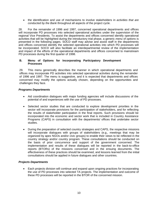• the identification and use of mechanisms to involve stakeholders in *activities that are conducted by the Bank* throughout all aspects of the project cycle.

28. For the remainder of 1996 and 1997, concerned operational departments and offices will incorporate PD processes into selected operational activities under the supervision of the regional Vice Presidents. To assist the departments and offices concerned identify operational activities that will be highlighted during the introductory trial phase, a generic *menu* of *options* is presented in the following pages. SOCD staff may advise and assist staff in the departments arid offices concerned identify the selected operational activities into which PD processes will be incorporated. SOCD will also facilitate an interdepartmental review of the implementation and impact of the efforts of the operational departments and offices concerned to mainstream PD processes during the first quarter of 1998.

#### **B. Menu of Options for Incorporating Participatory Development Processes**

29. This menu generically describes the manner in which operational departments and offices may incorporate PD activities into selected operational activities during the remainder of 1996 and 1997. The menu is suggestive, and it is expected that departments and offices concerned may modify the options actually chosen, depending on the opportunities and challenges they face.

### *Programs Departments*

- Aid coordination dialogues with major funding agencies will include discussions of the potential of and experiences with the use of PD processes.
- Selected sector studies that are conducted to explore development priorities in the sector will incorporate provisions for the participation of stakeholders, and for reflecting the results of stakeholder participation in the final reports. Such provisions should be incorporated into the economic and sector work that is included in Country Assistance Programs (CAPS) in consultation with the departments/ offices that undertake sector studies.
- During the preparation of selected country strategies and CAPS, the respective missions will incorporate dialogues with groups of stakeholders (e.g., meetings that may be organized by apex NGOs and/or civic groups) to enable their views to be reflected in the country strategy and/or country program. These consultations should be conducted on the basis of prior concurrence and support of the government concerned. The implementation and results of these dialogues will be reported in the back-to-office reports (BTORs) of the missions concerned and in the ensuing documents. The effectiveness of these practices should be examined, and lessons learned from the initial consultations should be applied in future dialogues and other countries.

## *Projects Departments*

• Each projects division will continue and expand upon ongoing practices for incorporating the use of PD processes into selected TA projects. The implementation and outcome of these PD processes will be reported in the BTOR of the concerned mission.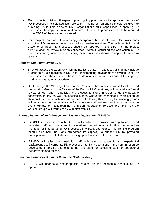- Each projects division will expand upon ongoing practices for incorporating the use of PD processes into selected loan projects. In doing so, emphasis should be given to providing TA to help selected DMC organizations build capabilities in applying PD processes. The implementation and outcome of these PD processes should be reported in the BTOR of the mission concerned.
- Each projects division will increasingly incorporate the use of stakeholder workshops and other PD processes during selected loan review missions. The implementation and outcome of these PD processes should be reported in the BTOR of the project administration or review mission concerned. Without restricting the application of PD processes during loan review missions, these processes should be applied to mid-term reviews.

### *Strategy and Policy Office (SPO)*

- SPO will assess the extent to which the Bank's program in capacity building may include a focus to build capacities in DMCs for implementing development activities using PD processes, and should reflect these considerations in future revisions of the capacity building program, as appropriate.
- SPO, through the Working Group on the Review of the Bank's Business Practices and the Working Group on the Review of the Bank's TA Operations, will undertake a formal review of loan and TA policies and processing steps in order to identify possible constraints to PD as well as specific stages where the meaningful participation of stakeholders can be obtained or enhanced. Following this review, the working groups will recommend further revisions in Bank- policies and business practices to improve the overall climate for mainstreaming PD in Bank operations. To accomplish this task, the working groups will work closely with staff from SOCD.

#### *Budget, Personnel and Management Systems Department (BPMSD)*

- **BPMSD,** in association with SOCD, will continue to provide training to orient and sensitize staff and managers in operational departments and offices in regard to methods for incorporating PD processes into Bank operations. This training program should also help the Bank strengthen its capacity to support PD by providing participation-related, field-based learning opportunities to interested staff.
- BPMSD will reflect the need for staff with relevant academic and experiential backgrounds to incorporate PD processes into Bank operations in the human resource development policies and criteria that are used for selecting staff for operational departments and offices.

#### *Economics and Development Resource Center (EDRC)*

• EDRC will undertake sector-specific studies on the economic benefits of PD approaches.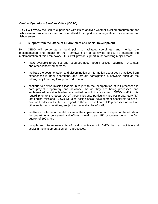## *Central Operations Services Office (COSO)*

COSO will review the Bank's experience with PD to analyze whether existing procurement and disbursement procedures need to be modified to support community-related procurement and disbursement.

#### **C. Support from the Office of Environment and Social Development**

30. OESD will serve as a focal point to facilitate, coordinate, and monitor the implementation and impact of the Framework on a Bankwide basis. To facilitate the implementation of this Framework, OESD will provide support in the following major areas:

- make available references and resources about good practices regarding PD to staff and other concerned persons;
- facilitate the documentation and dissemination of information about good practices from experiences in Bank operations, and through participation in networks such as the Interagency Learning Group on Participation;
- continue to advise mission leaders in regard to the incorporation of PD processes in both project preparatory and advisory TAs as they are being processed and implemented; mission leaders are invited to solicit advice from OESD staff in this regard prior to the *departure of* these missions, particularly project preparatory 'TA fact-finding missions; SOCD will also assign social development specialists to assist mission leaders in the field in regard to the incorporation of PD processes as well as other social considerations, subject to the availability of staff;
- facilitate an interdepartmental review of the implementation and impact of the efforts of the departments concerned and offices to mainstream PD processes during the first quarter of 1998; and
- compile and disseminate a list of local organizations in DMCs that can facilitate and assist in the implementation of PD processes.